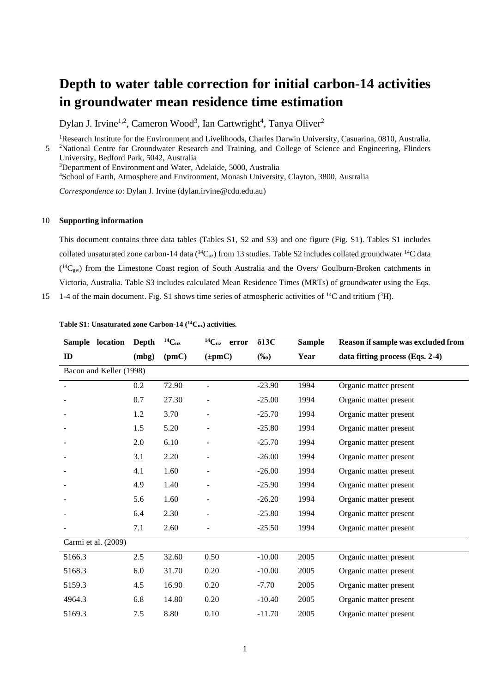## **Depth to water table correction for initial carbon-14 activities in groundwater mean residence time estimation**

Dylan J. Irvine<sup>1,2</sup>, Cameron Wood<sup>3</sup>, Ian Cartwright<sup>4</sup>, Tanya Oliver<sup>2</sup>

<sup>1</sup>Research Institute for the Environment and Livelihoods, Charles Darwin University, Casuarina, 0810, Australia. 5 <sup>2</sup>National Centre for Groundwater Research and Training, and College of Science and Engineering, Flinders University, Bedford Park, 5042, Australia <sup>3</sup>Department of Environment and Water, Adelaide, 5000, Australia

<sup>4</sup>School of Earth, Atmosphere and Environment, Monash University, Clayton, 3800, Australia

*Correspondence to*: Dylan J. Irvine (dylan.irvine@cdu.edu.au)

## 10 **Supporting information**

This document contains three data tables (Tables S1, S2 and S3) and one figure (Fig. S1). Tables S1 includes collated unsaturated zone carbon-14 data ( ${}^{14}C_{uz}$ ) from 13 studies. Table S2 includes collated groundwater  ${}^{14}C$  data  $(^{14}C_{gw})$  from the Limestone Coast region of South Australia and the Overs/ Goulburn-Broken catchments in Victoria, Australia. Table S3 includes calculated Mean Residence Times (MRTs) of groundwater using the Eqs.

15 1-4 of the main document. Fig. S1 shows time series of atmospheric activities of  $^{14}C$  and tritium ( $^{3}H$ ).

| Sample location         | <b>Depth</b> | $14C_{uz}$ | $14C_{uz}$ error | $\delta$ 13C | <b>Sample</b> | Reason if sample was excluded from |
|-------------------------|--------------|------------|------------------|--------------|---------------|------------------------------------|
| ID                      | (mbg)        | (pmc)      | $(\pm pmC)$      | $(\%0)$      | Year          | data fitting process (Eqs. 2-4)    |
| Bacon and Keller (1998) |              |            |                  |              |               |                                    |
|                         | 0.2          | 72.90      |                  | $-23.90$     | 1994          | Organic matter present             |
|                         | 0.7          | 27.30      |                  | $-25.00$     | 1994          | Organic matter present             |
|                         | 1.2          | 3.70       |                  | $-25.70$     | 1994          | Organic matter present             |
|                         | 1.5          | 5.20       |                  | $-25.80$     | 1994          | Organic matter present             |
|                         | 2.0          | 6.10       |                  | $-25.70$     | 1994          | Organic matter present             |
|                         | 3.1          | 2.20       |                  | $-26.00$     | 1994          | Organic matter present             |
|                         | 4.1          | 1.60       |                  | $-26.00$     | 1994          | Organic matter present             |
|                         | 4.9          | 1.40       |                  | $-25.90$     | 1994          | Organic matter present             |
|                         | 5.6          | 1.60       |                  | $-26.20$     | 1994          | Organic matter present             |
|                         | 6.4          | 2.30       |                  | $-25.80$     | 1994          | Organic matter present             |
|                         | 7.1          | 2.60       |                  | $-25.50$     | 1994          | Organic matter present             |
| Carmi et al. (2009)     |              |            |                  |              |               |                                    |
| 5166.3                  | 2.5          | 32.60      | 0.50             | $-10.00$     | 2005          | Organic matter present             |
| 5168.3                  | 6.0          | 31.70      | 0.20             | $-10.00$     | 2005          | Organic matter present             |
| 5159.3                  | 4.5          | 16.90      | 0.20             | $-7.70$      | 2005          | Organic matter present             |
| 4964.3                  | 6.8          | 14.80      | 0.20             | $-10.40$     | 2005          | Organic matter present             |
| 5169.3                  | 7.5          | 8.80       | 0.10             | $-11.70$     | 2005          | Organic matter present             |

**Table S1: Unsaturated zone Carbon-14 (<sup>14</sup>Cuz) activities.**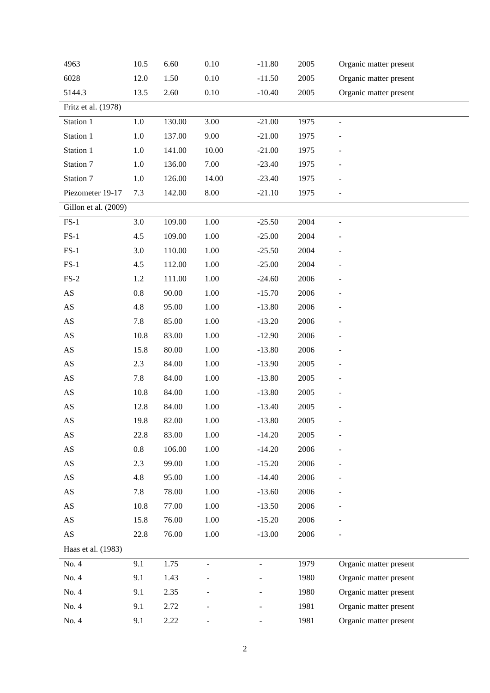| 4963                   | 10.5    | 6.60   | 0.10     | $-11.80$       | 2005 | Organic matter present |
|------------------------|---------|--------|----------|----------------|------|------------------------|
| 6028                   | 12.0    | 1.50   | 0.10     | $-11.50$       | 2005 | Organic matter present |
| 5144.3                 | 13.5    | 2.60   | 0.10     | $-10.40$       | 2005 | Organic matter present |
| Fritz et al. (1978)    |         |        |          |                |      |                        |
| Station 1              | 1.0     | 130.00 | 3.00     | $-21.00$       | 1975 | $\blacksquare$         |
| Station 1              | $1.0\,$ | 137.00 | 9.00     | $-21.00$       | 1975 |                        |
| Station 1              | 1.0     | 141.00 | 10.00    | $-21.00$       | 1975 |                        |
| Station 7              | 1.0     | 136.00 | 7.00     | $-23.40$       | 1975 |                        |
| Station 7              | 1.0     | 126.00 | 14.00    | $-23.40$       | 1975 |                        |
| Piezometer 19-17       | 7.3     | 142.00 | 8.00     | $-21.10$       | 1975 |                        |
| Gillon et al. (2009)   |         |        |          |                |      |                        |
| $FS-1$                 | 3.0     | 109.00 | 1.00     | $-25.50$       | 2004 | $\overline{a}$         |
| $FS-1$                 | 4.5     | 109.00 | 1.00     | $-25.00$       | 2004 |                        |
| $FS-1$                 | 3.0     | 110.00 | 1.00     | $-25.50$       | 2004 |                        |
| $FS-1$                 | 4.5     | 112.00 | 1.00     | $-25.00$       | 2004 |                        |
| $FS-2$                 | 1.2     | 111.00 | 1.00     | $-24.60$       | 2006 |                        |
| $\mathbf{A}\mathbf{S}$ | 0.8     | 90.00  | 1.00     | $-15.70$       | 2006 |                        |
| $\mathbf{A}\mathbf{S}$ | 4.8     | 95.00  | 1.00     | $-13.80$       | 2006 |                        |
| $\mathbf{A}\mathbf{S}$ | 7.8     | 85.00  | 1.00     | $-13.20$       | 2006 |                        |
| $\mathbf{A}\mathbf{S}$ | 10.8    | 83.00  | 1.00     | $-12.90$       | 2006 |                        |
| $\mathbf{A}\mathbf{S}$ | 15.8    | 80.00  | 1.00     | $-13.80$       | 2006 |                        |
| $\mathbf{A}\mathbf{S}$ | 2.3     | 84.00  | 1.00     | $-13.90$       | 2005 | -                      |
| $\mathbf{A}\mathbf{S}$ | 7.8     | 84.00  | 1.00     | $-13.80$       | 2005 |                        |
| $\mathbf{A}\mathbf{S}$ | 10.8    | 84.00  | 1.00     | $-13.80$       | 2005 |                        |
| $\mathbf{A}\mathbf{S}$ | 12.8    | 84.00  | 1.00     | $-13.40$       | 2005 |                        |
| $\mathbf{A}\mathbf{S}$ | 19.8    | 82.00  | $1.00\,$ | $-13.80$       | 2005 |                        |
| AS                     | 22.8    | 83.00  | 1.00     | $-14.20$       | 2005 |                        |
| $\mathbf{A}\mathbf{S}$ | $0.8\,$ | 106.00 | 1.00     | $-14.20$       | 2006 |                        |
| $\mathbf{A}\mathbf{S}$ | 2.3     | 99.00  | 1.00     | $-15.20$       | 2006 |                        |
| $\mathbf{A}\mathbf{S}$ | 4.8     | 95.00  | 1.00     | $-14.40$       | 2006 |                        |
| $\mathbf{A}\mathbf{S}$ | 7.8     | 78.00  | 1.00     | $-13.60$       | 2006 |                        |
| $\mathbf{A}\mathbf{S}$ | 10.8    | 77.00  | 1.00     | $-13.50$       | 2006 |                        |
| AS                     | 15.8    | 76.00  | 1.00     | $-15.20$       | 2006 |                        |
| $\mathbf{A}\mathbf{S}$ | 22.8    | 76.00  | 1.00     | $-13.00$       | 2006 |                        |
| Haas et al. (1983)     |         |        |          |                |      |                        |
| No. 4                  | 9.1     | 1.75   | ÷,       | $\overline{a}$ | 1979 | Organic matter present |
| No. 4                  | 9.1     | 1.43   |          |                | 1980 | Organic matter present |
| No. 4                  | 9.1     | 2.35   |          |                | 1980 | Organic matter present |
| No. 4                  | 9.1     | 2.72   |          |                | 1981 | Organic matter present |
| No. 4                  | 9.1     | 2.22   |          |                | 1981 | Organic matter present |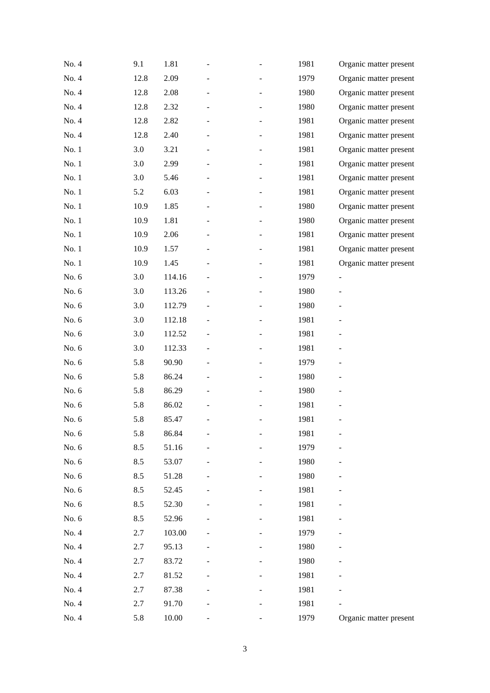| No. 4   | 9.1  | 1.81   | ÷ | 1981 | Organic matter present   |
|---------|------|--------|---|------|--------------------------|
| No. 4   | 12.8 | 2.09   |   | 1979 | Organic matter present   |
| No. 4   | 12.8 | 2.08   |   | 1980 | Organic matter present   |
| No. 4   | 12.8 | 2.32   |   | 1980 | Organic matter present   |
| No. 4   | 12.8 | 2.82   |   | 1981 | Organic matter present   |
| No. 4   | 12.8 | 2.40   |   | 1981 | Organic matter present   |
| No. 1   | 3.0  | 3.21   |   | 1981 | Organic matter present   |
| No. 1   | 3.0  | 2.99   |   | 1981 | Organic matter present   |
| No. 1   | 3.0  | 5.46   |   | 1981 | Organic matter present   |
| No. 1   | 5.2  | 6.03   |   | 1981 | Organic matter present   |
| No. 1   | 10.9 | 1.85   |   | 1980 | Organic matter present   |
| No. 1   | 10.9 | 1.81   |   | 1980 | Organic matter present   |
| No. 1   | 10.9 | 2.06   |   | 1981 | Organic matter present   |
| No. 1   | 10.9 | 1.57   |   | 1981 | Organic matter present   |
| No. 1   | 10.9 | 1.45   |   | 1981 | Organic matter present   |
| No. 6   | 3.0  | 114.16 |   | 1979 | $\overline{\phantom{0}}$ |
| No. 6   | 3.0  | 113.26 |   | 1980 |                          |
| No. 6   | 3.0  | 112.79 |   | 1980 |                          |
| No. 6   | 3.0  | 112.18 |   | 1981 |                          |
| No. 6   | 3.0  | 112.52 |   | 1981 |                          |
| No. 6   | 3.0  | 112.33 | - | 1981 |                          |
| No. 6   | 5.8  | 90.90  |   | 1979 |                          |
| No. 6   | 5.8  | 86.24  |   | 1980 |                          |
| No. 6   | 5.8  | 86.29  |   | 1980 |                          |
| No. 6   | 5.8  | 86.02  |   | 1981 |                          |
| No. 6   | 5.8  | 85.47  |   | 1981 | $\overline{\phantom{0}}$ |
| No. 6   | 5.8  | 86.84  |   | 1981 |                          |
| No. 6   | 8.5  | 51.16  |   | 1979 |                          |
| No. 6   | 8.5  | 53.07  |   | 1980 |                          |
| No. 6   | 8.5  | 51.28  |   | 1980 |                          |
| No. $6$ | 8.5  | 52.45  |   | 1981 |                          |
| No. 6   | 8.5  | 52.30  |   | 1981 |                          |
| No. 6   | 8.5  | 52.96  |   | 1981 |                          |
| No. 4   | 2.7  | 103.00 |   | 1979 |                          |
| No. 4   | 2.7  | 95.13  |   | 1980 |                          |
| No. 4   | 2.7  | 83.72  |   | 1980 |                          |
| No. 4   | 2.7  | 81.52  |   | 1981 |                          |
| No. 4   | 2.7  | 87.38  |   | 1981 |                          |
| No. 4   | 2.7  | 91.70  |   | 1981 |                          |
| No. 4   | 5.8  | 10.00  |   | 1979 | Organic matter present   |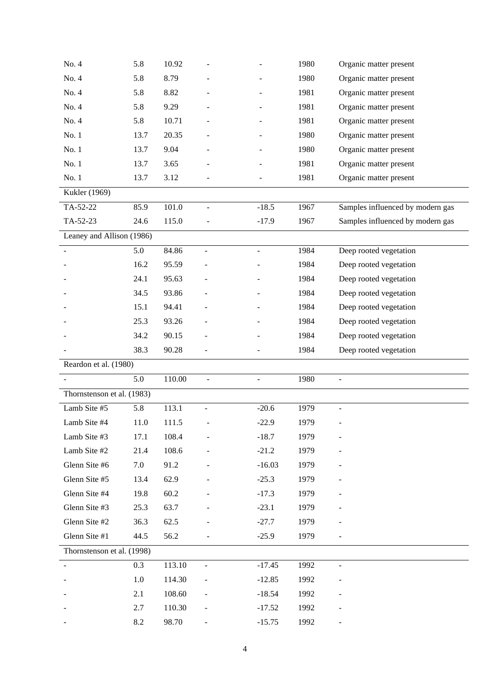| No. 4                      | 5.8  | 10.92  |                              |                | 1980 | Organic matter present           |
|----------------------------|------|--------|------------------------------|----------------|------|----------------------------------|
| No. 4                      | 5.8  | 8.79   |                              |                | 1980 | Organic matter present           |
| No. 4                      | 5.8  | 8.82   |                              |                | 1981 | Organic matter present           |
| No. 4                      | 5.8  | 9.29   |                              |                | 1981 | Organic matter present           |
| No. 4                      | 5.8  | 10.71  |                              |                | 1981 | Organic matter present           |
| No. 1                      | 13.7 | 20.35  |                              |                | 1980 | Organic matter present           |
| No. 1                      | 13.7 | 9.04   |                              |                | 1980 | Organic matter present           |
| No. 1                      | 13.7 | 3.65   |                              |                | 1981 | Organic matter present           |
| No. 1                      | 13.7 | 3.12   |                              |                | 1981 | Organic matter present           |
| Kukler (1969)              |      |        |                              |                |      |                                  |
| TA-52-22                   | 85.9 | 101.0  |                              | $-18.5$        | 1967 | Samples influenced by modern gas |
| TA-52-23                   | 24.6 | 115.0  |                              | $-17.9$        | 1967 | Samples influenced by modern gas |
| Leaney and Allison (1986)  |      |        |                              |                |      |                                  |
|                            | 5.0  | 84.86  |                              | $\blacksquare$ | 1984 | Deep rooted vegetation           |
|                            | 16.2 | 95.59  |                              |                | 1984 | Deep rooted vegetation           |
|                            | 24.1 | 95.63  |                              |                | 1984 | Deep rooted vegetation           |
|                            | 34.5 | 93.86  |                              |                | 1984 | Deep rooted vegetation           |
|                            | 15.1 | 94.41  |                              |                | 1984 | Deep rooted vegetation           |
|                            | 25.3 | 93.26  |                              |                | 1984 | Deep rooted vegetation           |
|                            | 34.2 | 90.15  |                              |                | 1984 | Deep rooted vegetation           |
|                            | 38.3 | 90.28  |                              |                | 1984 | Deep rooted vegetation           |
| Reardon et al. (1980)      |      |        |                              |                |      |                                  |
|                            | 5.0  | 110.00 |                              |                | 1980 | $\overline{a}$                   |
| Thornstenson et al. (1983) |      |        |                              |                |      |                                  |
| Lamb Site #5               | 5.8  | 113.1  |                              | $-20.6$        | 1979 | $\overline{a}$                   |
| Lamb Site #4               | 11.0 | 111.5  |                              | $-22.9$        | 1979 |                                  |
| Lamb Site #3               | 17.1 | 108.4  |                              | $-18.7$        | 1979 |                                  |
| Lamb Site #2               | 21.4 | 108.6  |                              | $-21.2$        | 1979 |                                  |
| Glenn Site #6              | 7.0  | 91.2   |                              | $-16.03$       | 1979 |                                  |
| Glenn Site #5              | 13.4 | 62.9   |                              | $-25.3$        | 1979 |                                  |
| Glenn Site #4              | 19.8 | 60.2   |                              | $-17.3$        | 1979 |                                  |
| Glenn Site #3              | 25.3 | 63.7   |                              | $-23.1$        | 1979 |                                  |
| Glenn Site #2              | 36.3 | 62.5   |                              | $-27.7$        | 1979 |                                  |
| Glenn Site #1              | 44.5 | 56.2   |                              | $-25.9$        | 1979 |                                  |
| Thornstenson et al. (1998) |      |        |                              |                |      |                                  |
|                            | 0.3  | 113.10 | $\qquad \qquad \blacksquare$ | $-17.45$       | 1992 | $\overline{\phantom{a}}$         |
|                            | 1.0  | 114.30 |                              | $-12.85$       | 1992 |                                  |
|                            | 2.1  | 108.60 |                              | $-18.54$       | 1992 |                                  |
|                            | 2.7  | 110.30 |                              | $-17.52$       | 1992 |                                  |
|                            | 8.2  | 98.70  |                              | $-15.75$       | 1992 |                                  |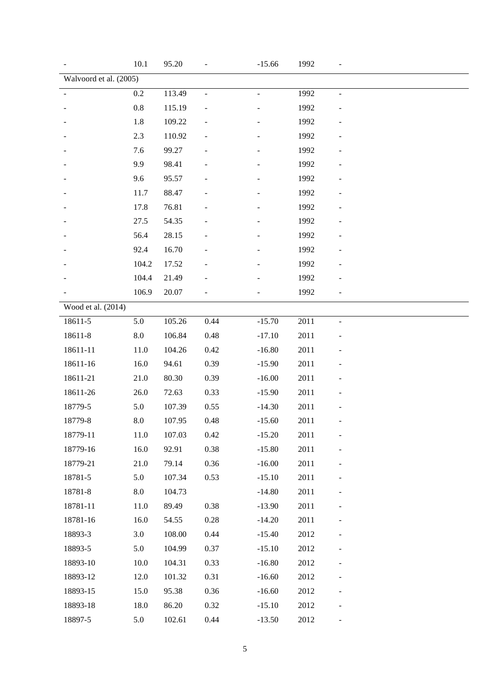| 10.1               | 95.20                    |                          | $-15.66$       | 1992 |                          |
|--------------------|--------------------------|--------------------------|----------------|------|--------------------------|
|                    |                          |                          |                |      |                          |
| 0.2                | 113.49                   | $\overline{\phantom{a}}$ | $\blacksquare$ | 1992 | $\blacksquare$           |
| $0.8\,$            | 115.19                   |                          |                | 1992 |                          |
| 1.8                | 109.22                   |                          |                | 1992 |                          |
| 2.3                | 110.92                   |                          |                | 1992 |                          |
| 7.6                | 99.27                    |                          |                | 1992 |                          |
| 9.9                | 98.41                    |                          |                | 1992 |                          |
| 9.6                | 95.57                    |                          |                | 1992 |                          |
| 11.7               | 88.47                    |                          |                | 1992 |                          |
| 17.8               | 76.81                    |                          |                | 1992 |                          |
| 27.5               | 54.35                    |                          |                | 1992 |                          |
| 56.4               | 28.15                    |                          |                | 1992 |                          |
| 92.4               | 16.70                    |                          |                | 1992 |                          |
| 104.2              | 17.52                    |                          |                | 1992 |                          |
| 104.4              | 21.49                    |                          |                | 1992 |                          |
| 106.9              | 20.07                    |                          |                | 1992 |                          |
|                    |                          |                          |                |      |                          |
| 5.0                | 105.26                   | 0.44                     | $-15.70$       | 2011 |                          |
| $\boldsymbol{8.0}$ | 106.84                   | 0.48                     | $-17.10$       | 2011 |                          |
| 11.0               | 104.26                   | 0.42                     | $-16.80$       | 2011 |                          |
| 16.0               | 94.61                    | 0.39                     | $-15.90$       | 2011 |                          |
| 21.0               | 80.30                    | 0.39                     | $-16.00$       | 2011 |                          |
| 26.0               | 72.63                    | 0.33                     | $-15.90$       | 2011 |                          |
| 5.0                | 107.39                   | 0.55                     | $-14.30$       | 2011 |                          |
| 8.0                | 107.95                   | 0.48                     | $-15.60$       | 2011 |                          |
| $11.0\,$           | 107.03                   | 0.42                     | $-15.20$       | 2011 | $\overline{a}$           |
| 16.0               | 92.91                    | 0.38                     | $-15.80$       | 2011 |                          |
| 21.0               | 79.14                    | 0.36                     | $-16.00$       | 2011 | $\overline{\phantom{m}}$ |
| 5.0                | 107.34                   | 0.53                     | $-15.10$       | 2011 |                          |
| $\ \, 8.0$         | 104.73                   |                          | $-14.80$       | 2011 |                          |
| 11.0               | 89.49                    | 0.38                     | $-13.90$       | 2011 |                          |
| 16.0               | 54.55                    | 0.28                     | $-14.20$       | 2011 |                          |
| 3.0                | 108.00                   | 0.44                     | $-15.40$       | 2012 |                          |
| 5.0                | 104.99                   | 0.37                     | $-15.10$       | 2012 |                          |
| 10.0               | 104.31                   | 0.33                     | $-16.80$       | 2012 | $\overline{\phantom{0}}$ |
| 12.0               | 101.32                   | 0.31                     | $-16.60$       | 2012 |                          |
| 15.0               | 95.38                    | 0.36                     | $-16.60$       | 2012 | $\overline{\phantom{0}}$ |
| 18.0               | 86.20                    | 0.32                     | $-15.10$       | 2012 |                          |
|                    |                          |                          |                |      |                          |
|                    | Walvoord et al. $(2005)$ |                          |                |      |                          |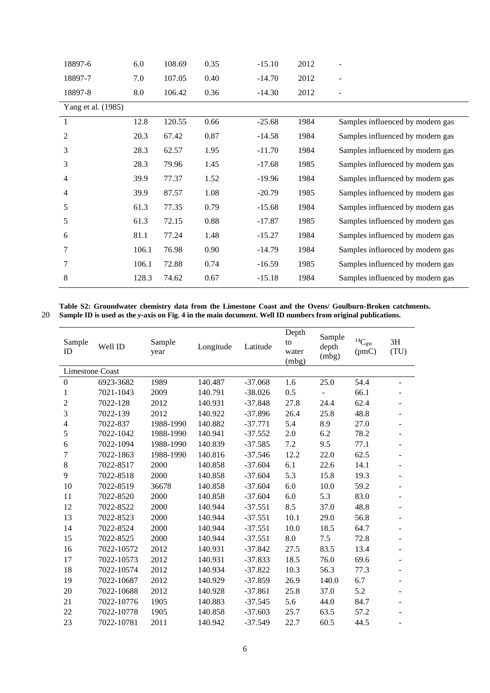| 18897-6            | 6.0   | 108.69 | 0.35 | $-15.10$ | 2012 | $\overline{\phantom{0}}$         |
|--------------------|-------|--------|------|----------|------|----------------------------------|
| 18897-7            | 7.0   | 107.05 | 0.40 | $-14.70$ | 2012 | $\qquad \qquad -$                |
| 18897-8            | 8.0   | 106.42 | 0.36 | $-14.30$ | 2012 |                                  |
| Yang et al. (1985) |       |        |      |          |      |                                  |
| 1                  | 12.8  | 120.55 | 0.66 | $-25.68$ | 1984 | Samples influenced by modern gas |
| $\overline{2}$     | 20.3  | 67.42  | 0.87 | $-14.58$ | 1984 | Samples influenced by modern gas |
| 3                  | 28.3  | 62.57  | 1.95 | $-11.70$ | 1984 | Samples influenced by modern gas |
| 3                  | 28.3  | 79.96  | 1.45 | $-17.68$ | 1985 | Samples influenced by modern gas |
| $\overline{4}$     | 39.9  | 77.37  | 1.52 | $-19.96$ | 1984 | Samples influenced by modern gas |
| 4                  | 39.9  | 87.57  | 1.08 | $-20.79$ | 1985 | Samples influenced by modern gas |
| 5                  | 61.3  | 77.35  | 0.79 | $-15.68$ | 1984 | Samples influenced by modern gas |
| 5                  | 61.3  | 72.15  | 0.88 | $-17.87$ | 1985 | Samples influenced by modern gas |
| 6                  | 81.1  | 77.24  | 1.48 | $-15.27$ | 1984 | Samples influenced by modern gas |
| 7                  | 106.1 | 76.98  | 0.90 | $-14.79$ | 1984 | Samples influenced by modern gas |
| 7                  | 106.1 | 72.88  | 0.74 | $-16.59$ | 1985 | Samples influenced by modern gas |
| 8                  | 128.3 | 74.62  | 0.67 | $-15.18$ | 1984 | Samples influenced by modern gas |

**Table S2: Groundwater chemistry data from the Limestone Coast and the Ovens/ Goulburn-Broken catchments. Sample ID is used as the** *y***-axis on Fig. 4 in the main document. Well ID numbers from original publications.**

| Sample<br>ID           | Well ID    | Sample<br>year | Longitude | Latitude  | Depth<br>to<br>water<br>(mbg) | Sample<br>depth<br>(mbg) | ${}^{14}C_{\rm gw}$<br>(pmc) | 3H<br>(TU)               |
|------------------------|------------|----------------|-----------|-----------|-------------------------------|--------------------------|------------------------------|--------------------------|
| <b>Limestone Coast</b> |            |                |           |           |                               |                          |                              |                          |
| $\boldsymbol{0}$       | 6923-3682  | 1989           | 140.487   | $-37.068$ | 1.6                           | 25.0                     | 54.4                         |                          |
| 1                      | 7021-1043  | 2009           | 140.791   | $-38.026$ | 0.5                           |                          | 66.1                         |                          |
| $\overline{2}$         | 7022-128   | 2012           | 140.931   | $-37.848$ | 27.8                          | 24.4                     | 62.4                         | ۰                        |
| 3                      | 7022-139   | 2012           | 140.922   | $-37.896$ | 26.4                          | 25.8                     | 48.8                         | ÷.                       |
| $\overline{4}$         | 7022-837   | 1988-1990      | 140.882   | $-37.771$ | 5.4                           | 8.9                      | 27.0                         | ۰                        |
| 5                      | 7022-1042  | 1988-1990      | 140.941   | $-37.552$ | 2.0                           | 6.2                      | 78.2                         | ۰                        |
| 6                      | 7022-1094  | 1988-1990      | 140.839   | $-37.585$ | 7.2                           | 9.5                      | 77.1                         | ۰                        |
| $\tau$                 | 7022-1863  | 1988-1990      | 140.816   | $-37.546$ | 12.2                          | 22.0                     | 62.5                         |                          |
| 8                      | 7022-8517  | 2000           | 140.858   | $-37.604$ | 6.1                           | 22.6                     | 14.1                         |                          |
| 9                      | 7022-8518  | 2000           | 140.858   | $-37.604$ | 5.3                           | 15.8                     | 19.3                         |                          |
| 10                     | 7022-8519  | 36678          | 140.858   | $-37.604$ | 6.0                           | 10.0                     | 59.2                         |                          |
| 11                     | 7022-8520  | 2000           | 140.858   | $-37.604$ | 6.0                           | 5.3                      | 83.0                         |                          |
| 12                     | 7022-8522  | 2000           | 140.944   | $-37.551$ | 8.5                           | 37.0                     | 48.8                         | ۰                        |
| 13                     | 7022-8523  | 2000           | 140.944   | $-37.551$ | 10.1                          | 29.0                     | 56.8                         | ÷.                       |
| 14                     | 7022-8524  | 2000           | 140.944   | $-37.551$ | 10.0                          | 18.5                     | 64.7                         | $\overline{\phantom{0}}$ |
| 15                     | 7022-8525  | 2000           | 140.944   | $-37.551$ | 8.0                           | 7.5                      | 72.8                         |                          |
| 16                     | 7022-10572 | 2012           | 140.931   | $-37.842$ | 27.5                          | 83.5                     | 13.4                         |                          |
| 17                     | 7022-10573 | 2012           | 140.931   | $-37.833$ | 18.5                          | 76.0                     | 69.6                         | ÷.                       |
| 18                     | 7022-10574 | 2012           | 140.934   | $-37.822$ | 10.3                          | 56.3                     | 77.3                         |                          |
| 19                     | 7022-10687 | 2012           | 140.929   | $-37.859$ | 26.9                          | 140.0                    | 6.7                          | ۰                        |
| 20                     | 7022-10688 | 2012           | 140.928   | $-37.861$ | 25.8                          | 37.0                     | 5.2                          |                          |
| 21                     | 7022-10776 | 1905           | 140.883   | $-37.545$ | 5.6                           | 44.0                     | 84.7                         |                          |
| 22                     | 7022-10778 | 1905           | 140.858   | $-37.603$ | 25.7                          | 63.5                     | 57.2                         |                          |
| 23                     | 7022-10781 | 2011           | 140.942   | $-37.549$ | 22.7                          | 60.5                     | 44.5                         |                          |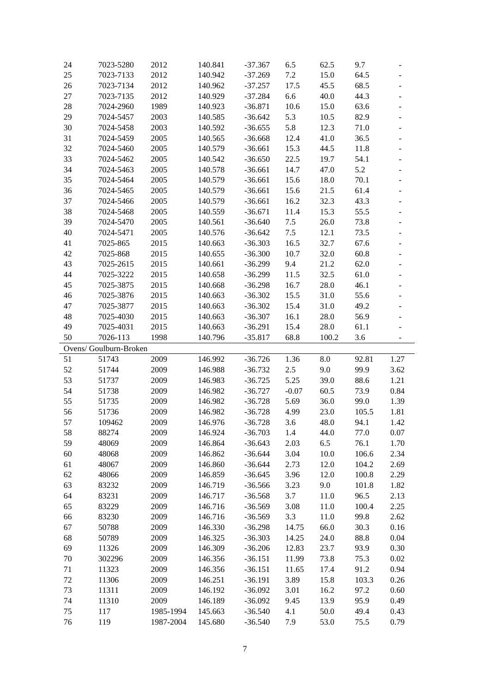| 24       | 7023-5280              | 2012                   | 140.841            | $-37.367$              | 6.5        | 62.5         | 9.7          |                              |
|----------|------------------------|------------------------|--------------------|------------------------|------------|--------------|--------------|------------------------------|
| 25       | 7023-7133              | 2012                   | 140.942            | $-37.269$              | 7.2        | 15.0         | 64.5         |                              |
| 26       | 7023-7134              | 2012                   | 140.962            | $-37.257$              | 17.5       | 45.5         | 68.5         |                              |
| 27       | 7023-7135              | 2012                   | 140.929            | $-37.284$              | 6.6        | 40.0         | 44.3         | $\overline{\phantom{0}}$     |
| 28       | 7024-2960              | 1989                   | 140.923            | $-36.871$              | 10.6       | 15.0         | 63.6         |                              |
| 29       | 7024-5457              | 2003                   | 140.585            | $-36.642$              | 5.3        | 10.5         | 82.9         | $\qquad \qquad \blacksquare$ |
| 30       | 7024-5458              | 2003                   | 140.592            | $-36.655$              | 5.8        | 12.3         | 71.0         |                              |
| 31       | 7024-5459              | 2005                   | 140.565            | $-36.668$              | 12.4       | 41.0         | 36.5         | $\frac{1}{2}$                |
| 32       | 7024-5460              | 2005                   | 140.579            | $-36.661$              | 15.3       | 44.5         | 11.8         |                              |
| 33       | 7024-5462              | 2005                   | 140.542            | $-36.650$              | 22.5       | 19.7         | 54.1         | $\overline{\phantom{0}}$     |
| 34       | 7024-5463              | 2005                   | 140.578            | $-36.661$              | 14.7       | 47.0         | 5.2          |                              |
| 35       | 7024-5464              | 2005                   | 140.579            | $-36.661$              | 15.6       | 18.0         | 70.1         | $\qquad \qquad \blacksquare$ |
| 36       | 7024-5465              | 2005                   | 140.579            | $-36.661$              | 15.6       | 21.5         | 61.4         |                              |
| 37       | 7024-5466              | 2005                   | 140.579            | $-36.661$              | 16.2       | 32.3         | 43.3         |                              |
| 38       | 7024-5468              | 2005                   | 140.559            | $-36.671$              | 11.4       | 15.3         | 55.5         |                              |
| 39       | 7024-5470              | 2005                   | 140.561            | $-36.640$              | 7.5        | 26.0         | 73.8         |                              |
| 40       | 7024-5471              | 2005                   | 140.576            | $-36.642$              | $7.5\,$    | 12.1         | 73.5         |                              |
| 41       | 7025-865               | 2015                   | 140.663            | $-36.303$              | 16.5       | 32.7         | 67.6         | ÷,                           |
| 42       | 7025-868               | 2015                   | 140.655            | $-36.300$              | 10.7       | 32.0         | 60.8         |                              |
| 43       | 7025-2615              | 2015                   | 140.661            | $-36.299$              | 9.4        | 21.2         | 62.0         | $\qquad \qquad \blacksquare$ |
| 44       | 7025-3222              | 2015                   | 140.658            | $-36.299$              | 11.5       | 32.5         | 61.0         | $\qquad \qquad \blacksquare$ |
| 45       | 7025-3875              | 2015                   | 140.668            | $-36.298$              | 16.7       | 28.0         | 46.1         | $\overline{\phantom{0}}$     |
| 46       | 7025-3876              | 2015                   | 140.663            | $-36.302$              | 15.5       | 31.0         | 55.6         |                              |
| 47       | 7025-3877              | 2015                   | 140.663            | $-36.302$              | 15.4       | 31.0         | 49.2         | $\frac{1}{2}$                |
| 48       | 7025-4030              | 2015                   | 140.663            | $-36.307$              | 16.1       | 28.0         | 56.9         |                              |
| 49       | 7025-4031              | 2015                   | 140.663            | $-36.291$              | 15.4       | 28.0         | 61.1         |                              |
| 50       | 7026-113               | 1998                   | 140.796            | $-35.817$              | 68.8       | 100.2        | 3.6          |                              |
|          |                        |                        |                    |                        |            |              |              |                              |
|          |                        |                        |                    |                        |            |              |              |                              |
|          | Ovens/ Goulburn-Broken |                        |                    |                        |            |              |              |                              |
| 51       | 51743                  | 2009                   | 146.992            | $-36.726$              | 1.36       | 8.0          | 92.81        | 1.27                         |
| 52       | 51744                  | 2009                   | 146.988            | $-36.732$              | 2.5        | 9.0          | 99.9         | 3.62                         |
| 53       | 51737                  | 2009                   | 146.983            | $-36.725$              | 5.25       | 39.0         | 88.6         | 1.21                         |
| 54       | 51738                  | 2009                   | 146.982            | $-36.727$              | $-0.07$    | 60.5         | 73.9         | 0.84                         |
| 55       | 51735                  | 2009                   | 146.982            | $-36.728$              | 5.69       | 36.0         | 99.0         | 1.39                         |
| 56       | 51736                  | 2009                   | 146.982            | $-36.728$              | 4.99       | 23.0         | 105.5        | 1.81                         |
| 57       | 109462                 | 2009                   | 146.976            | $-36.728$              | 3.6        | 48.0         | 94.1         | 1.42                         |
| 58       | 88274                  | 2009                   | 146.924            | $-36.703$              | $1.4\,$    | 44.0         | 77.0         | 0.07                         |
| 59       | 48069                  | 2009                   | 146.864            | $-36.643$              | 2.03       | 6.5          | 76.1         | 1.70                         |
| 60       | 48068                  | 2009                   | 146.862            | $-36.644$              | 3.04       | 10.0         | 106.6        | 2.34                         |
| 61       | 48067                  | 2009                   | 146.860            | $-36.644$              | 2.73       | 12.0         | 104.2        | 2.69                         |
| 62       | 48066                  | 2009                   | 146.859            | $-36.645$              | 3.96       | 12.0         | 100.8        | 2.29                         |
| 63       | 83232                  | 2009                   | 146.719            | $-36.566$              | 3.23       | 9.0          | 101.8        | 1.82                         |
| 64       | 83231                  | 2009                   | 146.717            | $-36.568$              | 3.7        | 11.0         | 96.5         | 2.13                         |
| 65       | 83229                  | 2009                   | 146.716            | $-36.569$              | 3.08       | 11.0         | 100.4        | 2.25                         |
| 66       | 83230                  | 2009                   | 146.716            | $-36.569$              | 3.3        | 11.0         | 99.8         | 2.62                         |
| 67       | 50788                  | 2009                   | 146.330            | $-36.298$              | 14.75      | 66.0         | 30.3         | 0.16                         |
| 68       | 50789                  | 2009                   | 146.325            | $-36.303$              | 14.25      | 24.0         | 88.8         | 0.04                         |
| 69       | 11326                  | 2009                   | 146.309            | $-36.206$              | 12.83      | 23.7         | 93.9         | 0.30                         |
| 70       | 302296                 | 2009                   | 146.356            | $-36.151$              | 11.99      | 73.8         | 75.3         | 0.02                         |
| 71       | 11323                  | 2009                   | 146.356            | $-36.151$              | 11.65      | 17.4         | 91.2         | 0.94                         |
| 72       | 11306                  | 2009                   | 146.251            | $-36.191$              | 3.89       | 15.8         | 103.3        | 0.26                         |
| 73       | 11311                  | 2009                   | 146.192            | $-36.092$              | 3.01       | 16.2         | 97.2         | 0.60                         |
| 74       | 11310                  | 2009                   | 146.189            | $-36.092$              | 9.45       | 13.9         | 95.9         | 0.49                         |
| 75<br>76 | 117<br>119             | 1985-1994<br>1987-2004 | 145.663<br>145.680 | $-36.540$<br>$-36.540$ | 4.1<br>7.9 | 50.0<br>53.0 | 49.4<br>75.5 | 0.43<br>0.79                 |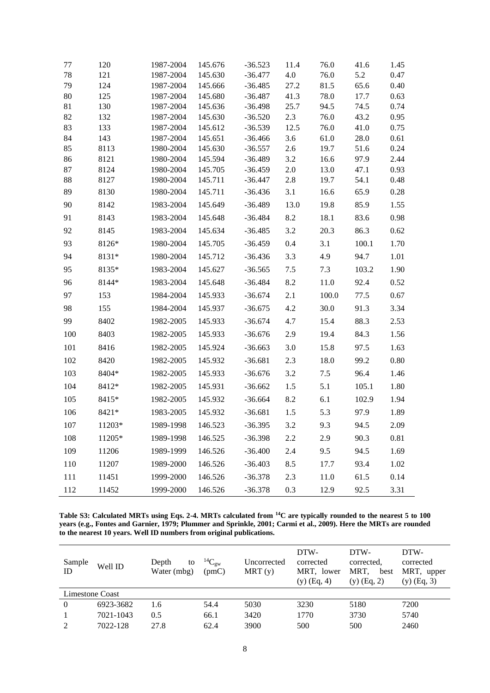| 77       | 120        | 1987-2004              | 145.676            | $-36.523$              | 11.4        | 76.0         | 41.6         | 1.45         |
|----------|------------|------------------------|--------------------|------------------------|-------------|--------------|--------------|--------------|
| 78       | 121        | 1987-2004              | 145.630            | $-36.477$              | 4.0         | 76.0         | 5.2          | 0.47         |
| 79       | 124        | 1987-2004              | 145.666            | $-36.485$              | 27.2        | 81.5         | 65.6         | 0.40         |
| $80\,$   | 125        | 1987-2004              | 145.680            | $-36.487$              | 41.3        | 78.0         | 17.7         | 0.63         |
| 81       | 130        | 1987-2004              | 145.636            | $-36.498$              | 25.7        | 94.5         | 74.5         | 0.74         |
| 82       | 132        | 1987-2004              | 145.630            | $-36.520$              | 2.3         | 76.0         | 43.2         | 0.95         |
| 83<br>84 | 133<br>143 | 1987-2004<br>1987-2004 | 145.612<br>145.651 | $-36.539$<br>$-36.466$ | 12.5<br>3.6 | 76.0<br>61.0 | 41.0<br>28.0 | 0.75<br>0.61 |
| 85       | 8113       | 1980-2004              | 145.630            | $-36.557$              | 2.6         | 19.7         | 51.6         | 0.24         |
| 86       | 8121       | 1980-2004              | 145.594            | $-36.489$              | 3.2         | 16.6         | 97.9         | 2.44         |
| 87       | 8124       | 1980-2004              | 145.705            | $-36.459$              | 2.0         | 13.0         | 47.1         | 0.93         |
| 88       | 8127       | 1980-2004              | 145.711            | $-36.447$              | 2.8         | 19.7         | 54.1         | 0.48         |
| 89       | 8130       | 1980-2004              | 145.711            | $-36.436$              | 3.1         | 16.6         | 65.9         | 0.28         |
| 90       | 8142       | 1983-2004              | 145.649            | $-36.489$              | 13.0        | 19.8         | 85.9         | 1.55         |
| 91       | 8143       | 1983-2004              | 145.648            | $-36.484$              | 8.2         | 18.1         | 83.6         | 0.98         |
| 92       | 8145       | 1983-2004              | 145.634            | $-36.485$              | 3.2         | 20.3         | 86.3         | 0.62         |
| 93       | 8126*      | 1980-2004              | 145.705            | $-36.459$              | $0.4\,$     | 3.1          | 100.1        | 1.70         |
| 94       | 8131*      | 1980-2004              | 145.712            | $-36.436$              | 3.3         | 4.9          | 94.7         | 1.01         |
| 95       | 8135*      | 1983-2004              | 145.627            | $-36.565$              | 7.5         | 7.3          | 103.2        | 1.90         |
| 96       | 8144*      | 1983-2004              | 145.648            | $-36.484$              | 8.2         | 11.0         | 92.4         | 0.52         |
| 97       | 153        | 1984-2004              | 145.933            | $-36.674$              | 2.1         | 100.0        | 77.5         | 0.67         |
| 98       | 155        | 1984-2004              | 145.937            | $-36.675$              | 4.2         | 30.0         | 91.3         | 3.34         |
| 99       | 8402       | 1982-2005              | 145.933            | $-36.674$              | 4.7         | 15.4         | 88.3         | 2.53         |
| 100      | 8403       | 1982-2005              | 145.933            | $-36.676$              | 2.9         | 19.4         | 84.3         | 1.56         |
| 101      | 8416       | 1982-2005              | 145.924            | $-36.663$              | 3.0         | 15.8         | 97.5         | 1.63         |
| 102      | 8420       | 1982-2005              | 145.932            | $-36.681$              | 2.3         | 18.0         | 99.2         | $0.80\,$     |
| 103      | 8404*      | 1982-2005              | 145.933            | $-36.676$              | 3.2         | 7.5          | 96.4         | 1.46         |
| 104      | 8412*      | 1982-2005              | 145.931            | $-36.662$              | 1.5         | 5.1          | 105.1        | 1.80         |
| 105      | 8415*      | 1982-2005              | 145.932            | $-36.664$              | 8.2         | 6.1          | 102.9        | 1.94         |
| 106      | 8421*      | 1983-2005              | 145.932            | $-36.681$              | 1.5         | 5.3          | 97.9         | 1.89         |
| 107      | 11203*     | 1989-1998              | 146.523            | $-36.395$              | $3.2\,$     | 9.3          | 94.5         | 2.09         |
| 108      | 11205*     | 1989-1998              | 146.525            | $-36.398$              | 2.2         | 2.9          | 90.3         | 0.81         |
| 109      | 11206      | 1989-1999              | 146.526            | $-36.400$              | 2.4         | 9.5          | 94.5         | 1.69         |
| 110      | 11207      | 1989-2000              | 146.526            | $-36.403$              | 8.5         | 17.7         | 93.4         | 1.02         |
| 111      | 11451      | 1999-2000              | 146.526            | $-36.378$              | 2.3         | 11.0         | 61.5         | 0.14         |
| 112      | 11452      | 1999-2000              | 146.526            | $-36.378$              | 0.3         | 12.9         | 92.5         | 3.31         |

**Table S3: Calculated MRTs using Eqs. 2-4. MRTs calculated from <sup>14</sup>C are typically rounded to the nearest 5 to 100 years (e.g., Fontes and Garnier, 1979; Plummer and Sprinkle, 2001; Carmi et al., 2009). Here the MRTs are rounded to the nearest 10 years. Well ID numbers from original publications.**

| Sample<br>ID    | Well ID   | Depth<br>to<br>Water (mbg) | ${}^{14}C_{\rm gw}$<br>(pmc) | Uncorrected<br>MRT(y) | DTW-<br>corrected<br>MRT, lower<br>$(y)$ (Eq. 4) | DTW-<br>corrected.<br>MRT,<br>best<br>$(y)$ (Eq. 2) | DTW-<br>corrected<br>MRT, upper<br>$(y)$ (Eq. 3) |
|-----------------|-----------|----------------------------|------------------------------|-----------------------|--------------------------------------------------|-----------------------------------------------------|--------------------------------------------------|
| Limestone Coast |           |                            |                              |                       |                                                  |                                                     |                                                  |
| $\theta$        | 6923-3682 | 1.6                        | 54.4                         | 5030                  | 3230                                             | 5180                                                | 7200                                             |
|                 | 7021-1043 | 0.5                        | 66.1                         | 3420                  | 1770                                             | 3730                                                | 5740                                             |
| 2               | 7022-128  | 27.8                       | 62.4                         | 3900                  | 500                                              | 500                                                 | 2460                                             |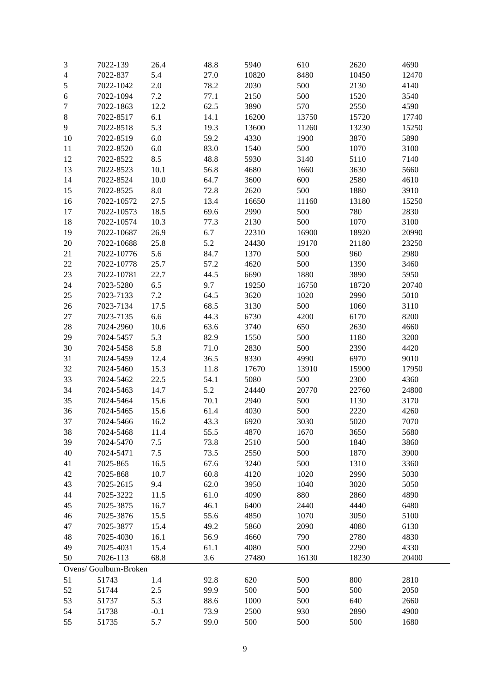| 3      | 7022-139               | 26.4       | 48.8 | 5940  | 610   | 2620  | 4690  |
|--------|------------------------|------------|------|-------|-------|-------|-------|
| 4      | 7022-837               | 5.4        | 27.0 | 10820 | 8480  | 10450 | 12470 |
| 5      | 7022-1042              | 2.0        | 78.2 | 2030  | 500   | 2130  | 4140  |
| 6      | 7022-1094              | 7.2        | 77.1 | 2150  | 500   | 1520  | 3540  |
| 7      | 7022-1863              | 12.2       | 62.5 | 3890  | 570   | 2550  | 4590  |
| 8      | 7022-8517              | 6.1        | 14.1 | 16200 | 13750 | 15720 | 17740 |
| 9      | 7022-8518              | 5.3        | 19.3 | 13600 | 11260 | 13230 | 15250 |
| 10     | 7022-8519              | $6.0\,$    | 59.2 | 4330  | 1900  | 3870  | 5890  |
| 11     | 7022-8520              | $6.0\,$    | 83.0 | 1540  | 500   | 1070  | 3100  |
| 12     | 7022-8522              | 8.5        | 48.8 | 5930  | 3140  | 5110  | 7140  |
| 13     | 7022-8523              | 10.1       | 56.8 | 4680  | 1660  | 3630  | 5660  |
| 14     | 7022-8524              | 10.0       | 64.7 | 3600  | 600   | 2580  | 4610  |
| 15     | 7022-8525              | $\ \, 8.0$ | 72.8 | 2620  | 500   | 1880  | 3910  |
| 16     | 7022-10572             | 27.5       | 13.4 | 16650 | 11160 | 13180 | 15250 |
| $17\,$ | 7022-10573             | 18.5       | 69.6 | 2990  | 500   | 780   | 2830  |
| 18     | 7022-10574             | 10.3       | 77.3 | 2130  | 500   | 1070  | 3100  |
| 19     | 7022-10687             | 26.9       | 6.7  | 22310 | 16900 | 18920 | 20990 |
| 20     | 7022-10688             | 25.8       | 5.2  | 24430 | 19170 | 21180 | 23250 |
| 21     | 7022-10776             | 5.6        | 84.7 | 1370  | 500   | 960   | 2980  |
| 22     |                        | 25.7       |      | 4620  | 500   | 1390  |       |
|        | 7022-10778             |            | 57.2 |       |       |       | 3460  |
| 23     | 7022-10781             | 22.7       | 44.5 | 6690  | 1880  | 3890  | 5950  |
| 24     | 7023-5280              | 6.5        | 9.7  | 19250 | 16750 | 18720 | 20740 |
| 25     | 7023-7133              | $7.2\,$    | 64.5 | 3620  | 1020  | 2990  | 5010  |
| 26     | 7023-7134              | 17.5       | 68.5 | 3130  | 500   | 1060  | 3110  |
| 27     | 7023-7135              | 6.6        | 44.3 | 6730  | 4200  | 6170  | 8200  |
| 28     | 7024-2960              | 10.6       | 63.6 | 3740  | 650   | 2630  | 4660  |
| 29     | 7024-5457              | 5.3        | 82.9 | 1550  | 500   | 1180  | 3200  |
| 30     | 7024-5458              | 5.8        | 71.0 | 2830  | 500   | 2390  | 4420  |
| 31     | 7024-5459              | 12.4       | 36.5 | 8330  | 4990  | 6970  | 9010  |
| 32     | 7024-5460              | 15.3       | 11.8 | 17670 | 13910 | 15900 | 17950 |
| 33     | 7024-5462              | 22.5       | 54.1 | 5080  | 500   | 2300  | 4360  |
| 34     | 7024-5463              | 14.7       | 5.2  | 24440 | 20770 | 22760 | 24800 |
| 35     | 7024-5464              | 15.6       | 70.1 | 2940  | 500   | 1130  | 3170  |
| 36     | 7024-5465              | 15.6       | 61.4 | 4030  | 500   | 2220  | 4260  |
| 37     | 7024-5466              | 16.2       | 43.3 | 6920  | 3030  | 5020  | 7070  |
| 38     | 7024-5468              | 11.4       | 55.5 | 4870  | 1670  | 3650  | 5680  |
| 39     | 7024-5470              | $7.5$      | 73.8 | 2510  | 500   | 1840  | 3860  |
| 40     | 7024-5471              | $7.5$      | 73.5 | 2550  | 500   | 1870  | 3900  |
| 41     | 7025-865               | 16.5       | 67.6 | 3240  | 500   | 1310  | 3360  |
| 42     | 7025-868               | 10.7       | 60.8 | 4120  | 1020  | 2990  | 5030  |
| 43     | 7025-2615              | 9.4        | 62.0 | 3950  | 1040  | 3020  | 5050  |
| 44     | 7025-3222              | 11.5       | 61.0 | 4090  | 880   | 2860  | 4890  |
| 45     | 7025-3875              | 16.7       | 46.1 | 6400  | 2440  | 4440  | 6480  |
| 46     | 7025-3876              | 15.5       | 55.6 | 4850  | 1070  | 3050  | 5100  |
| 47     | 7025-3877              | 15.4       | 49.2 | 5860  | 2090  | 4080  | 6130  |
| 48     | 7025-4030              | 16.1       | 56.9 | 4660  | 790   | 2780  | 4830  |
| 49     | 7025-4031              | 15.4       | 61.1 | 4080  | 500   | 2290  | 4330  |
| 50     | 7026-113               | 68.8       | 3.6  | 27480 | 16130 | 18230 | 20400 |
|        | Ovens/ Goulburn-Broken |            |      |       |       |       |       |
| 51     | 51743                  | 1.4        | 92.8 | 620   | 500   | 800   | 2810  |
| 52     | 51744                  | 2.5        | 99.9 | 500   | 500   | 500   | 2050  |
| 53     | 51737                  | 5.3        | 88.6 | 1000  | 500   | 640   | 2660  |
| 54     | 51738                  | $-0.1$     | 73.9 | 2500  | 930   | 2890  | 4900  |
| 55     | 51735                  | 5.7        | 99.0 | 500   | 500   | 500   | 1680  |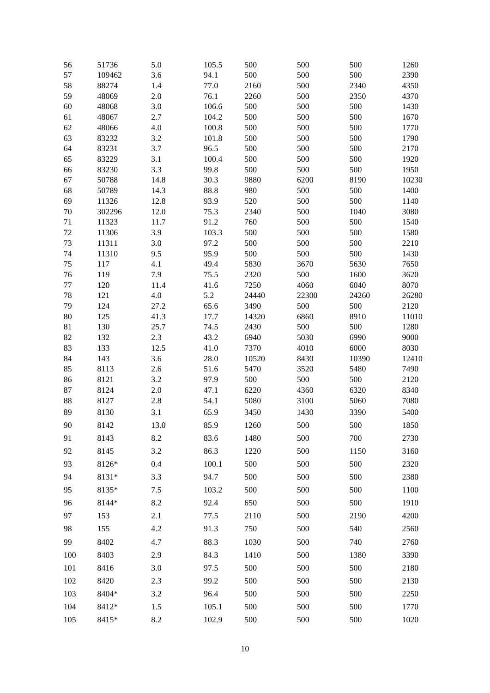| 56       | 51736           | 5.0          | 105.5        | 500         | 500        | 500         | 1260         |
|----------|-----------------|--------------|--------------|-------------|------------|-------------|--------------|
| 57       | 109462          | 3.6          | 94.1         | 500         | 500        | 500         | 2390         |
| 58       | 88274           | 1.4          | 77.0         | 2160        | 500        | 2340        | 4350         |
| 59       | 48069           | 2.0          | 76.1         | 2260        | 500        | 2350        | 4370         |
| 60       | 48068           | 3.0          | 106.6        | 500         | 500        | 500         | 1430         |
| 61       | 48067           | 2.7          | 104.2        | 500         | 500        | 500         | 1670         |
| 62       | 48066           | 4.0          | 100.8        | 500         | 500        | 500         | 1770         |
| 63       | 83232           | 3.2          | 101.8        | 500         | 500        | 500         | 1790         |
| 64       | 83231           | 3.7          | 96.5         | 500         | 500        | 500         | 2170         |
| 65       | 83229           | 3.1          | 100.4        | 500         | 500        | 500         | 1920         |
| 66       | 83230           | 3.3          | 99.8         | 500         | 500        | 500         | 1950         |
| 67       | 50788           | 14.8         | 30.3         | 9880        | 6200       | 8190        | 10230        |
| 68       | 50789           | 14.3         | 88.8         | 980         | 500        | 500         | 1400         |
| 69<br>70 | 11326<br>302296 | 12.8<br>12.0 | 93.9<br>75.3 | 520<br>2340 | 500<br>500 | 500<br>1040 | 1140<br>3080 |
| 71       | 11323           | 11.7         | 91.2         | 760         | 500        | 500         | 1540         |
| 72       | 11306           | 3.9          | 103.3        | 500         | 500        | 500         | 1580         |
| 73       | 11311           | 3.0          | 97.2         | 500         | 500        | 500         | 2210         |
| 74       | 11310           | 9.5          | 95.9         | 500         | 500        | 500         | 1430         |
| 75       | 117             | 4.1          | 49.4         | 5830        | 3670       | 5630        | 7650         |
| 76       | 119             | 7.9          | 75.5         | 2320        | 500        | 1600        | 3620         |
| 77       | 120             | 11.4         | 41.6         | 7250        | 4060       | 6040        | 8070         |
| 78       | 121             | 4.0          | 5.2          | 24440       | 22300      | 24260       | 26280        |
| 79       | 124             | 27.2         | 65.6         | 3490        | 500        | 500         | 2120         |
| 80       | 125             | 41.3         | 17.7         | 14320       | 6860       | 8910        | 11010        |
| 81       | 130             | 25.7         | 74.5         | 2430        | 500        | 500         | 1280         |
| 82       | 132             | 2.3          | 43.2         | 6940        | 5030       | 6990        | 9000         |
| 83       | 133             | 12.5         | 41.0         | 7370        | 4010       | 6000        | 8030         |
| 84       | 143             | 3.6          | 28.0         | 10520       | 8430       | 10390       | 12410        |
| 85       | 8113            | 2.6          | 51.6         | 5470        | 3520       | 5480        | 7490         |
| 86       | 8121            | 3.2          | 97.9         | 500         | 500        | 500         | 2120         |
| 87       | 8124            | 2.0          | 47.1         | 6220        | 4360       | 6320        | 8340         |
| 88       | 8127            | 2.8          | 54.1         | 5080        | 3100       | 5060        | 7080         |
| 89       | 8130            | 3.1          | 65.9         | 3450        | 1430       | 3390        | 5400         |
| 90       | 8142            | 13.0         | 85.9         | 1260        | 500        | 500         | 1850         |
| 91       | 8143            | 8.2          | 83.6         | 1480        | 500        | 700         | 2730         |
| 92       | 8145            | 3.2          | 86.3         | 1220        | 500        | 1150        | 3160         |
| 93       | 8126*           | 0.4          | 100.1        | 500         | 500        | 500         | 2320         |
| 94       | 8131*           | 3.3          | 94.7         | 500         | 500        | 500         | 2380         |
| 95       | 8135*           | 7.5          | 103.2        | 500         | 500        | 500         | 1100         |
| 96       | 8144*           | 8.2          | 92.4         | 650         | 500        | 500         | 1910         |
| 97       | 153             | 2.1          | 77.5         | 2110        | 500        | 2190        | 4200         |
| 98       | 155             | 4.2          | 91.3         | 750         | 500        | 540         | 2560         |
| 99       | 8402            | 4.7          | 88.3         | 1030        | 500        | 740         | 2760         |
| 100      | 8403            | 2.9          | 84.3         | 1410        | 500        | 1380        | 3390         |
| 101      | 8416            | 3.0          | 97.5         | 500         | 500        | 500         | 2180         |
| 102      | 8420            | 2.3          | 99.2         | 500         | 500        | 500         | 2130         |
| 103      | 8404*           | 3.2          | 96.4         | 500         | 500        | 500         | 2250         |
| 104      | 8412*           | 1.5          | 105.1        | 500         | 500        | 500         | 1770         |
| 105      | 8415*           | 8.2          | 102.9        | 500         | 500        | 500         | 1020         |
|          |                 |              |              |             |            |             |              |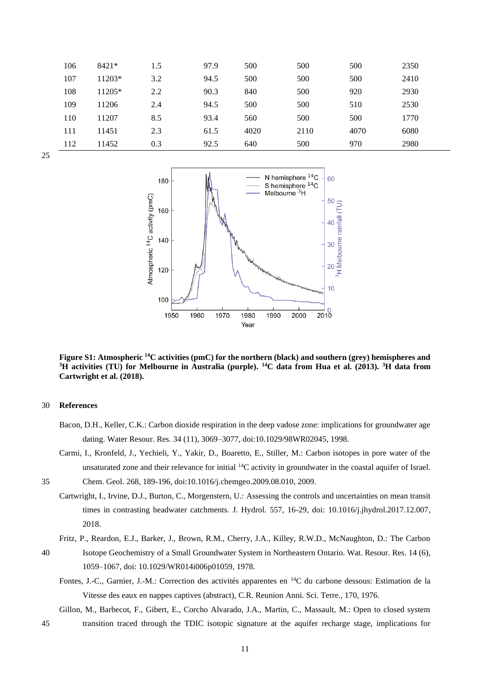| 106 | 8421*  | 1.5 | 97.9 | 500  | 500  | 500  | 2350 |
|-----|--------|-----|------|------|------|------|------|
| 107 | 11203* | 3.2 | 94.5 | 500  | 500  | 500  | 2410 |
| 108 | 11205* | 2.2 | 90.3 | 840  | 500  | 920  | 2930 |
| 109 | 11206  | 2.4 | 94.5 | 500  | 500  | 510  | 2530 |
| 110 | 11207  | 8.5 | 93.4 | 560  | 500  | 500  | 1770 |
| 111 | 11451  | 2.3 | 61.5 | 4020 | 2110 | 4070 | 6080 |
| 112 | 11452  | 0.3 | 92.5 | 640  | 500  | 970  | 2980 |





**Figure S1: Atmospheric <sup>14</sup>C activities (pmC) for the northern (black) and southern (grey) hemispheres and <sup>3</sup>H activities (TU) for Melbourne in Australia (purple). <sup>14</sup>C data from Hua et al. (2013). <sup>3</sup>H data from Cartwright et al. (2018).**

## 30 **References**

- Bacon, D.H., Keller, C.K.: Carbon dioxide respiration in the deep vadose zone: implications for groundwater age dating. Water Resour. Res. 34 (11), 3069–3077, doi:10.1029/98WR02045, 1998.
- Carmi, I., Kronfeld, J., Yechieli, Y., Yakir, D., Boaretto, E., Stiller, M.: Carbon isotopes in pore water of the unsaturated zone and their relevance for initial <sup>14</sup>C activity in groundwater in the coastal aquifer of Israel.

35 Chem. Geol. 268, 189-196, doi:10.1016/j.chemgeo.2009.08.010, 2009.

Cartwright, I., Irvine, D.J., Burton, C., Morgenstern, U.: Assessing the controls and uncertainties on mean transit times in contrasting headwater catchments. J. Hydrol. 557, 16-29, doi: 10.1016/j.jhydrol.2017.12.007, 2018.

Fritz, P., Reardon, E.J., Barker, J., Brown, R.M., Cherry, J.A., Killey, R.W.D., McNaughton, D.: The Carbon

- 40 Isotope Geochemistry of a Small Groundwater System in Northeastern Ontario. Wat. Resour. Res. 14 (6), 1059–1067, doi: 10.1029/WR014i006p01059, 1978.
	- Fontes, J.-C., Garnier, J.-M.: Correction des activités apparentes en <sup>14</sup>C du carbone dessous: Estimation de la Vitesse des eaux en nappes captives (abstract), C.R. Reunion Anni. Sci. Terre., 170, 1976.

Gillon, M., Barbecot, F., Gibert, E., Corcho Alvarado, J.A., Martin, C., Massault, M.: Open to closed system 45 transition traced through the TDIC isotopic signature at the aquifer recharge stage, implications for